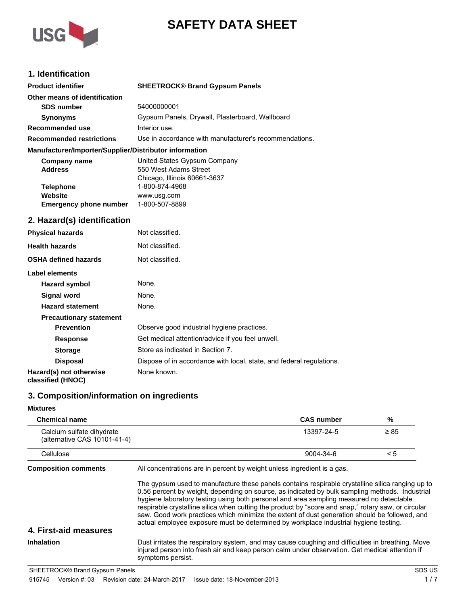



# **1. Identification**

| <b>Product identifier</b>                              | <b>SHEETROCK® Brand Gypsum Panels</b>                  |
|--------------------------------------------------------|--------------------------------------------------------|
| Other means of identification                          |                                                        |
| <b>SDS number</b>                                      | 54000000001                                            |
| <b>Synonyms</b>                                        | Gypsum Panels, Drywall, Plasterboard, Wallboard        |
| Recommended use                                        | Interior use.                                          |
| <b>Recommended restrictions</b>                        | Use in accordance with manufacturer's recommendations. |
| Manufacturer/Importer/Supplier/Distributor information |                                                        |
| Company name                                           | United States Gypsum Company                           |
| <b>Address</b>                                         | 550 West Adams Street                                  |

| <b>Address</b>                | 550 West Adams Street        |
|-------------------------------|------------------------------|
|                               | Chicago, Illinois 60661-3637 |
| <b>Telephone</b>              | 1-800-874-4968               |
| Website                       | www.usq.com                  |
| <b>Emergency phone number</b> | 1-800-507-8899               |

# **2. Hazard(s) identification**

| <b>Physical hazards</b>                      | Not classified.                                                      |
|----------------------------------------------|----------------------------------------------------------------------|
| <b>Health hazards</b>                        | Not classified.                                                      |
| <b>OSHA defined hazards</b>                  | Not classified.                                                      |
| Label elements                               |                                                                      |
| <b>Hazard symbol</b>                         | None.                                                                |
| Signal word                                  | None.                                                                |
| <b>Hazard statement</b>                      | None.                                                                |
| <b>Precautionary statement</b>               |                                                                      |
| <b>Prevention</b>                            | Observe good industrial hygiene practices.                           |
| <b>Response</b>                              | Get medical attention/advice if you feel unwell.                     |
| <b>Storage</b>                               | Store as indicated in Section 7.                                     |
| <b>Disposal</b>                              | Dispose of in accordance with local, state, and federal regulations. |
| Hazard(s) not otherwise<br>classified (HNOC) | None known.                                                          |

## **3. Composition/information on ingredients**

#### **Mixtures**

| <b>Chemical name</b>                                      |                                                                                                                                                                                                                                                                                                                                                                                                                                                                                                                                                                                               | <b>CAS number</b> | %         |
|-----------------------------------------------------------|-----------------------------------------------------------------------------------------------------------------------------------------------------------------------------------------------------------------------------------------------------------------------------------------------------------------------------------------------------------------------------------------------------------------------------------------------------------------------------------------------------------------------------------------------------------------------------------------------|-------------------|-----------|
| Calcium sulfate dihydrate<br>(alternative CAS 10101-41-4) |                                                                                                                                                                                                                                                                                                                                                                                                                                                                                                                                                                                               | 13397-24-5        | $\geq 85$ |
| Cellulose                                                 |                                                                                                                                                                                                                                                                                                                                                                                                                                                                                                                                                                                               | 9004-34-6         | < 5       |
| <b>Composition comments</b>                               | All concentrations are in percent by weight unless ingredient is a gas.                                                                                                                                                                                                                                                                                                                                                                                                                                                                                                                       |                   |           |
| 4. First-aid measures                                     | The gypsum used to manufacture these panels contains respirable crystalline silica ranging up to<br>0.56 percent by weight, depending on source, as indicated by bulk sampling methods. Industrial<br>hygiene laboratory testing using both personal and area sampling measured no detectable<br>respirable crystalline silica when cutting the product by "score and snap," rotary saw, or circular<br>saw. Good work practices which minimize the extent of dust generation should be followed, and<br>actual employee exposure must be determined by workplace industrial hygiene testing. |                   |           |
| Inhalation                                                | Dust irritates the respiratory system, and may cause coughing and difficulties in breathing. Move<br>injured person into fresh air and keep person calm under observation. Get medical attention if<br>symptoms persist.                                                                                                                                                                                                                                                                                                                                                                      |                   |           |
| SHEETROCK® Brand Gypsum Panels                            |                                                                                                                                                                                                                                                                                                                                                                                                                                                                                                                                                                                               |                   | SDS US    |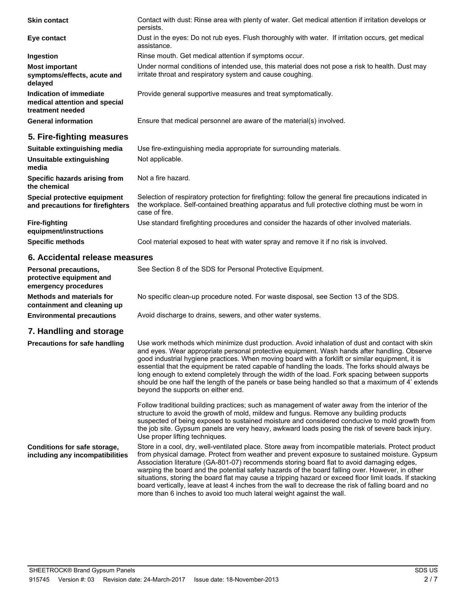| <b>Skin contact</b>                                                          | Contact with dust: Rinse area with plenty of water. Get medical attention if irritation develops or<br>persists.                                                                                                          |  |
|------------------------------------------------------------------------------|---------------------------------------------------------------------------------------------------------------------------------------------------------------------------------------------------------------------------|--|
| Eye contact                                                                  | Dust in the eyes: Do not rub eyes. Flush thoroughly with water. If irritation occurs, get medical<br>assistance.                                                                                                          |  |
| Ingestion                                                                    | Rinse mouth. Get medical attention if symptoms occur.                                                                                                                                                                     |  |
| <b>Most important</b><br>symptoms/effects, acute and<br>delayed              | Under normal conditions of intended use, this material does not pose a risk to health. Dust may<br>irritate throat and respiratory system and cause coughing.                                                             |  |
| Indication of immediate<br>medical attention and special<br>treatment needed | Provide general supportive measures and treat symptomatically.                                                                                                                                                            |  |
| <b>General information</b>                                                   | Ensure that medical personnel are aware of the material(s) involved.                                                                                                                                                      |  |
| 5. Fire-fighting measures                                                    |                                                                                                                                                                                                                           |  |
| Suitable extinguishing media                                                 | Use fire-extinguishing media appropriate for surrounding materials.                                                                                                                                                       |  |
| Unsuitable extinguishing<br>media                                            | Not applicable.                                                                                                                                                                                                           |  |
| Specific hazards arising from<br>the chemical                                | Not a fire hazard.                                                                                                                                                                                                        |  |
| Special protective equipment<br>and precautions for firefighters             | Selection of respiratory protection for firefighting: follow the general fire precautions indicated in<br>the workplace. Self-contained breathing apparatus and full protective clothing must be worn in<br>case of fire. |  |
| <b>Fire-fighting</b><br>equipment/instructions                               | Use standard firefighting procedures and consider the hazards of other involved materials.                                                                                                                                |  |
| <b>Specific methods</b>                                                      | Cool material exposed to heat with water spray and remove it if no risk is involved.                                                                                                                                      |  |
| 6. Accidental release measures                                               |                                                                                                                                                                                                                           |  |
| Personal precautions,<br>protective equipment and<br>amaraanay nroooduroo    | See Section 8 of the SDS for Personal Protective Equipment.                                                                                                                                                               |  |

**emergency procedures Methods and materials for containment and cleaning up** No specific clean-up procedure noted. For waste disposal, see Section 13 of the SDS.

**Environmental precautions** Avoid discharge to drains, sewers, and other water systems.

# **7. Handling and storage**

| Precautions for safe handling                                   | Use work methods which minimize dust production. Avoid inhalation of dust and contact with skin<br>and eyes. Wear appropriate personal protective equipment. Wash hands after handling. Observe<br>good industrial hygiene practices. When moving board with a forklift or similar equipment, it is<br>essential that the equipment be rated capable of handling the loads. The forks should always be<br>long enough to extend completely through the width of the load. Fork spacing between supports<br>should be one half the length of the panels or base being handled so that a maximum of 4' extends<br>beyond the supports on either end. |
|-----------------------------------------------------------------|----------------------------------------------------------------------------------------------------------------------------------------------------------------------------------------------------------------------------------------------------------------------------------------------------------------------------------------------------------------------------------------------------------------------------------------------------------------------------------------------------------------------------------------------------------------------------------------------------------------------------------------------------|
|                                                                 | Follow traditional building practices; such as management of water away from the interior of the<br>structure to avoid the growth of mold, mildew and fungus. Remove any building products<br>suspected of being exposed to sustained moisture and considered conducive to mold growth from<br>the job site. Gypsum panels are very heavy, awkward loads posing the risk of severe back injury.<br>Use proper lifting techniques.                                                                                                                                                                                                                  |
| Conditions for safe storage,<br>including any incompatibilities | Store in a cool, dry, well-ventilated place. Store away from incompatible materials. Protect product<br>from physical damage. Protect from weather and prevent exposure to sustained moisture. Gypsum<br>Association literature (GA-801-07) recommends storing board flat to avoid damaging edges.<br>warping the board and the potential safety hazards of the board falling over. However, in other<br>situations, storing the board flat may cause a tripping hazard or exceed floor limit loads. If stacking                                                                                                                                   |

more than 6 inches to avoid too much lateral weight against the wall.

board vertically, leave at least 4 inches from the wall to decrease the risk of falling board and no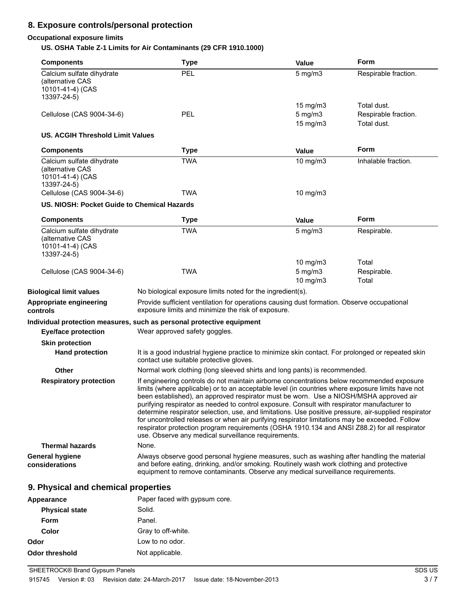# **8. Exposure controls/personal protection**

## **Occupational exposure limits**

**US. OSHA Table Z-1 Limits for Air Contaminants (29 CFR 1910.1000)**

| <b>Components</b>                                                                | <b>Type</b>                                                                                                                                                                                                                                                                                                                                                                                                                                                                                                                                                                                                                                                                                                                                             | <b>Value</b>                              | <b>Form</b>                                        |
|----------------------------------------------------------------------------------|---------------------------------------------------------------------------------------------------------------------------------------------------------------------------------------------------------------------------------------------------------------------------------------------------------------------------------------------------------------------------------------------------------------------------------------------------------------------------------------------------------------------------------------------------------------------------------------------------------------------------------------------------------------------------------------------------------------------------------------------------------|-------------------------------------------|----------------------------------------------------|
| Calcium sulfate dihydrate<br>(alternative CAS<br>10101-41-4) (CAS<br>13397-24-5) | PEL                                                                                                                                                                                                                                                                                                                                                                                                                                                                                                                                                                                                                                                                                                                                                     | $5$ mg/m $3$                              | Respirable fraction.                               |
| Cellulose (CAS 9004-34-6)                                                        | PEL                                                                                                                                                                                                                                                                                                                                                                                                                                                                                                                                                                                                                                                                                                                                                     | 15 mg/m3<br>$5$ mg/m $3$<br>15 mg/m3      | Total dust.<br>Respirable fraction.<br>Total dust. |
| <b>US. ACGIH Threshold Limit Values</b>                                          |                                                                                                                                                                                                                                                                                                                                                                                                                                                                                                                                                                                                                                                                                                                                                         |                                           |                                                    |
| <b>Components</b>                                                                | <b>Type</b>                                                                                                                                                                                                                                                                                                                                                                                                                                                                                                                                                                                                                                                                                                                                             | <b>Value</b>                              | Form                                               |
| Calcium sulfate dihydrate<br>(alternative CAS<br>10101-41-4) (CAS<br>13397-24-5) | <b>TWA</b>                                                                                                                                                                                                                                                                                                                                                                                                                                                                                                                                                                                                                                                                                                                                              | 10 mg/m3                                  | Inhalable fraction.                                |
| Cellulose (CAS 9004-34-6)                                                        | <b>TWA</b>                                                                                                                                                                                                                                                                                                                                                                                                                                                                                                                                                                                                                                                                                                                                              | 10 mg/m3                                  |                                                    |
| US. NIOSH: Pocket Guide to Chemical Hazards                                      |                                                                                                                                                                                                                                                                                                                                                                                                                                                                                                                                                                                                                                                                                                                                                         |                                           |                                                    |
| <b>Components</b>                                                                | <b>Type</b>                                                                                                                                                                                                                                                                                                                                                                                                                                                                                                                                                                                                                                                                                                                                             | Value                                     | Form                                               |
| Calcium sulfate dihydrate<br>(alternative CAS<br>10101-41-4) (CAS<br>13397-24-5) | <b>TWA</b>                                                                                                                                                                                                                                                                                                                                                                                                                                                                                                                                                                                                                                                                                                                                              | $5$ mg/m $3$                              | Respirable.                                        |
| Cellulose (CAS 9004-34-6)                                                        | <b>TWA</b>                                                                                                                                                                                                                                                                                                                                                                                                                                                                                                                                                                                                                                                                                                                                              | $10$ mg/m $3$<br>$5$ mg/m $3$<br>10 mg/m3 | Total<br>Respirable.<br>Total                      |
| <b>Biological limit values</b>                                                   | No biological exposure limits noted for the ingredient(s).                                                                                                                                                                                                                                                                                                                                                                                                                                                                                                                                                                                                                                                                                              |                                           |                                                    |
| Appropriate engineering<br>controls                                              | Provide sufficient ventilation for operations causing dust formation. Observe occupational<br>exposure limits and minimize the risk of exposure.                                                                                                                                                                                                                                                                                                                                                                                                                                                                                                                                                                                                        |                                           |                                                    |
| <b>Eye/face protection</b>                                                       | Individual protection measures, such as personal protective equipment<br>Wear approved safety goggles.                                                                                                                                                                                                                                                                                                                                                                                                                                                                                                                                                                                                                                                  |                                           |                                                    |
| <b>Skin protection</b>                                                           |                                                                                                                                                                                                                                                                                                                                                                                                                                                                                                                                                                                                                                                                                                                                                         |                                           |                                                    |
| <b>Hand protection</b>                                                           | It is a good industrial hygiene practice to minimize skin contact. For prolonged or repeated skin<br>contact use suitable protective gloves.                                                                                                                                                                                                                                                                                                                                                                                                                                                                                                                                                                                                            |                                           |                                                    |
| Other                                                                            | Normal work clothing (long sleeved shirts and long pants) is recommended.                                                                                                                                                                                                                                                                                                                                                                                                                                                                                                                                                                                                                                                                               |                                           |                                                    |
| <b>Respiratory protection</b>                                                    | If engineering controls do not maintain airborne concentrations below recommended exposure<br>limits (where applicable) or to an acceptable level (in countries where exposure limits have not<br>been established), an approved respirator must be worn. Use a NIOSH/MSHA approved air<br>purifying respirator as needed to control exposure. Consult with respirator manufacturer to<br>determine respirator selection, use, and limitations. Use positive pressure, air-supplied respirator<br>for uncontrolled releases or when air purifying respirator limitations may be exceeded. Follow<br>respirator protection program requirements (OSHA 1910.134 and ANSI Z88.2) for all respirator<br>use. Observe any medical surveillance requirements. |                                           |                                                    |
| <b>Thermal hazards</b>                                                           | None.                                                                                                                                                                                                                                                                                                                                                                                                                                                                                                                                                                                                                                                                                                                                                   |                                           |                                                    |
| <b>General hygiene</b><br>considerations                                         | Always observe good personal hygiene measures, such as washing after handling the material<br>and before eating, drinking, and/or smoking. Routinely wash work clothing and protective<br>equipment to remove contaminants. Observe any medical surveillance requirements.                                                                                                                                                                                                                                                                                                                                                                                                                                                                              |                                           |                                                    |
| 9. Physical and chemical properties                                              |                                                                                                                                                                                                                                                                                                                                                                                                                                                                                                                                                                                                                                                                                                                                                         |                                           |                                                    |
| Appearance                                                                       | Paper faced with gypsum core.                                                                                                                                                                                                                                                                                                                                                                                                                                                                                                                                                                                                                                                                                                                           |                                           |                                                    |

| Appearance            | Paper Taced With Gypsum Core. |
|-----------------------|-------------------------------|
| <b>Physical state</b> | Solid.                        |
| Form                  | Panel.                        |
| Color                 | Gray to off-white.            |
| Odor                  | Low to no odor.               |
| <b>Odor threshold</b> | Not applicable.               |
|                       |                               |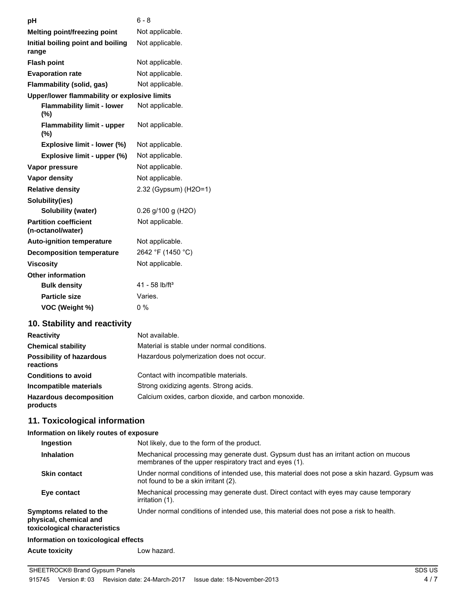| рH                                                | $6 - 8$                      |
|---------------------------------------------------|------------------------------|
| <b>Melting point/freezing point</b>               | Not applicable.              |
| Initial boiling point and boiling<br>range        | Not applicable.              |
| <b>Flash point</b>                                | Not applicable.              |
| <b>Evaporation rate</b>                           | Not applicable.              |
| Flammability (solid, gas)                         | Not applicable.              |
| Upper/lower flammability or explosive limits      |                              |
| <b>Flammability limit - lower</b><br>(%)          | Not applicable.              |
| <b>Flammability limit - upper</b><br>$(\%)$       | Not applicable.              |
| Explosive limit - lower (%)                       | Not applicable.              |
| Explosive limit - upper (%)                       | Not applicable.              |
| Vapor pressure                                    | Not applicable.              |
| Vapor density                                     | Not applicable.              |
| <b>Relative density</b>                           | 2.32 (Gypsum) (H2O=1)        |
| Solubility(ies)                                   |                              |
| <b>Solubility (water)</b>                         | $0.26$ g/100 g (H2O)         |
| <b>Partition coefficient</b><br>(n-octanol/water) | Not applicable.              |
| <b>Auto-ignition temperature</b>                  | Not applicable.              |
| <b>Decomposition temperature</b>                  | 2642 °F (1450 °C)            |
| <b>Viscosity</b>                                  | Not applicable.              |
| <b>Other information</b>                          |                              |
| <b>Bulk density</b>                               | $41 - 58$ lb/ft <sup>3</sup> |
| <b>Particle size</b>                              | Varies.                      |
| VOC (Weight %)                                    | $0\%$                        |

# **10. Stability and reactivity**

| <b>Reactivity</b>                            | Not available.                                       |
|----------------------------------------------|------------------------------------------------------|
| <b>Chemical stability</b>                    | Material is stable under normal conditions.          |
| <b>Possibility of hazardous</b><br>reactions | Hazardous polymerization does not occur.             |
| <b>Conditions to avoid</b>                   | Contact with incompatible materials.                 |
| Incompatible materials                       | Strong oxidizing agents. Strong acids.               |
| <b>Hazardous decomposition</b><br>products   | Calcium oxides, carbon dioxide, and carbon monoxide. |

# **11. Toxicological information**

### **Information on likely routes of exposure**

| Ingestion                                                                          | Not likely, due to the form of the product.                                                                                                     |
|------------------------------------------------------------------------------------|-------------------------------------------------------------------------------------------------------------------------------------------------|
| <b>Inhalation</b>                                                                  | Mechanical processing may generate dust. Gypsum dust has an irritant action on mucous<br>membranes of the upper respiratory tract and eyes (1). |
| <b>Skin contact</b>                                                                | Under normal conditions of intended use, this material does not pose a skin hazard. Gypsum was<br>not found to be a skin irritant (2).          |
| Eye contact                                                                        | Mechanical processing may generate dust. Direct contact with eyes may cause temporary<br>irritation (1).                                        |
| Symptoms related to the<br>physical, chemical and<br>toxicological characteristics | Under normal conditions of intended use, this material does not pose a risk to health.                                                          |
| Information on toxicological effects                                               |                                                                                                                                                 |
| <b>Acute toxicity</b>                                                              | Low hazard.                                                                                                                                     |
|                                                                                    |                                                                                                                                                 |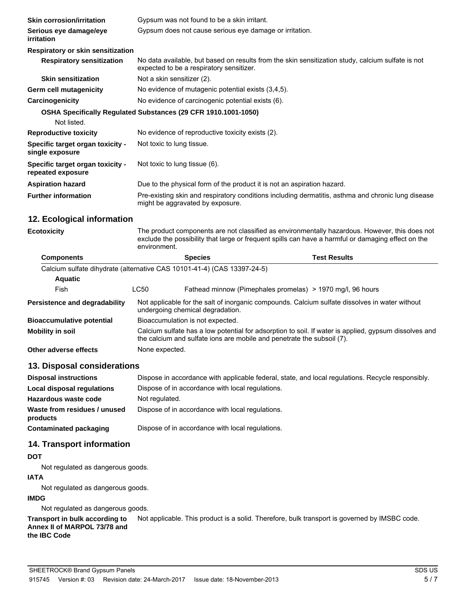| <b>Skin corrosion/irritation</b>                      | Gypsum was not found to be a skin irritant.                                                                                                   |
|-------------------------------------------------------|-----------------------------------------------------------------------------------------------------------------------------------------------|
| Serious eye damage/eye<br><i>irritation</i>           | Gypsum does not cause serious eye damage or irritation.                                                                                       |
| Respiratory or skin sensitization                     |                                                                                                                                               |
| <b>Respiratory sensitization</b>                      | No data available, but based on results from the skin sensitization study, calcium sulfate is not<br>expected to be a respiratory sensitizer. |
| <b>Skin sensitization</b>                             | Not a skin sensitizer (2).                                                                                                                    |
| <b>Germ cell mutagenicity</b>                         | No evidence of mutagenic potential exists (3,4,5).                                                                                            |
| Carcinogenicity                                       | No evidence of carcinogenic potential exists (6).                                                                                             |
|                                                       | OSHA Specifically Regulated Substances (29 CFR 1910.1001-1050)                                                                                |
| Not listed.                                           |                                                                                                                                               |
| <b>Reproductive toxicity</b>                          | No evidence of reproductive toxicity exists (2).                                                                                              |
| Specific target organ toxicity -<br>single exposure   | Not toxic to lung tissue.                                                                                                                     |
| Specific target organ toxicity -<br>repeated exposure | Not toxic to lung tissue (6).                                                                                                                 |
| <b>Aspiration hazard</b>                              | Due to the physical form of the product it is not an aspiration hazard.                                                                       |
| <b>Further information</b>                            | Pre-existing skin and respiratory conditions including dermatitis, asthma and chronic lung disease<br>might be aggravated by exposure.        |

## **12. Ecological information**

| <b>Ecotoxicity</b>                                                      | The product components are not classified as environmentally hazardous. However, this does not<br>exclude the possibility that large or frequent spills can have a harmful or damaging effect on the<br>environment. |                |  |                                                            |
|-------------------------------------------------------------------------|----------------------------------------------------------------------------------------------------------------------------------------------------------------------------------------------------------------------|----------------|--|------------------------------------------------------------|
| <b>Components</b>                                                       |                                                                                                                                                                                                                      | <b>Species</b> |  | <b>Test Results</b>                                        |
| Calcium sulfate dihydrate (alternative CAS 10101-41-4) (CAS 13397-24-5) |                                                                                                                                                                                                                      |                |  |                                                            |
| <b>Aquatic</b>                                                          |                                                                                                                                                                                                                      |                |  |                                                            |
| Fish                                                                    | <b>LC50</b>                                                                                                                                                                                                          |                |  | Fathead minnow (Pimephales promelas) > 1970 mg/l, 96 hours |
| Persistence and degradability                                           | Not applicable for the salt of inorganic compounds. Calcium sulfate dissolves in water without<br>undergoing chemical degradation.                                                                                   |                |  |                                                            |
| <b>Bioaccumulative potential</b>                                        | Bioaccumulation is not expected.                                                                                                                                                                                     |                |  |                                                            |
| <b>Mobility in soil</b>                                                 | Calcium sulfate has a low potential for adsorption to soil. If water is applied, gypsum dissolves and<br>the calcium and sulfate ions are mobile and penetrate the subsoil (7).                                      |                |  |                                                            |
| Other adverse effects                                                   | None expected.                                                                                                                                                                                                       |                |  |                                                            |

## **13. Disposal considerations**

| <b>Disposal instructions</b>             | Dispose in accordance with applicable federal, state, and local regulations. Recycle responsibly. |
|------------------------------------------|---------------------------------------------------------------------------------------------------|
| Local disposal regulations               | Dispose of in accordance with local regulations.                                                  |
| Hazardous waste code                     | Not regulated.                                                                                    |
| Waste from residues / unused<br>products | Dispose of in accordance with local regulations.                                                  |
| Contaminated packaging                   | Dispose of in accordance with local regulations.                                                  |

## **14. Transport information**

## **DOT**

Not regulated as dangerous goods.

## **IATA**

Not regulated as dangerous goods.

### **IMDG**

Not regulated as dangerous goods.

**Transport in bulk according to** Not applicable. This product is a solid. Therefore, bulk transport is governed by IMSBC code. **Annex II of MARPOL 73/78 and**

# **the IBC Code**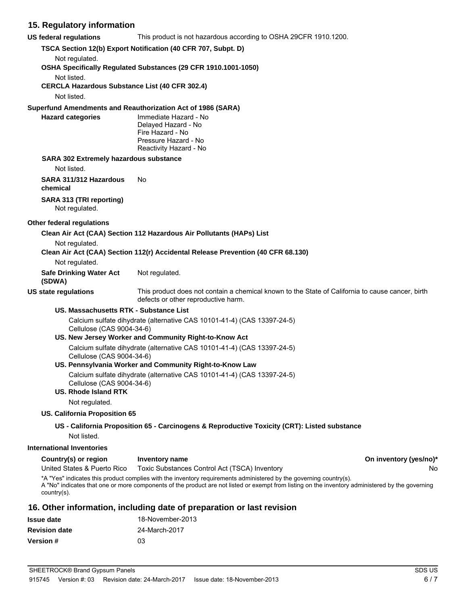## **15. Regulatory information**

**US federal regulations** This product is not hazardous according to OSHA 29CFR 1910.1200.

**TSCA Section 12(b) Export Notification (40 CFR 707, Subpt. D)**

Not regulated.

**OSHA Specifically Regulated Substances (29 CFR 1910.1001-1050)**

Not listed.

**CERCLA Hazardous Substance List (40 CFR 302.4)**

Not listed.

**Superfund Amendments and Reauthorization Act of 1986 (SARA)**

**Hazard categories** Immediate Hazard - No Delayed Hazard - No Fire Hazard - No Pressure Hazard - No Reactivity Hazard - No

### **SARA 302 Extremely hazardous substance**

Not listed.

**SARA 311/312 Hazardous chemical** No

### **SARA 313 (TRI reporting)**

Not regulated.

#### **Other federal regulations**

**Clean Air Act (CAA) Section 112 Hazardous Air Pollutants (HAPs) List**

Not regulated.

**Clean Air Act (CAA) Section 112(r) Accidental Release Prevention (40 CFR 68.130)**

#### Not regulated.

**Safe Drinking Water Act** Not regulated.

#### **(SDWA)**

**US state regulations** This product does not contain a chemical known to the State of California to cause cancer, birth defects or other reproductive harm.

#### **US. Massachusetts RTK - Substance List**

Calcium sulfate dihydrate (alternative CAS 10101-41-4) (CAS 13397-24-5) Cellulose (CAS 9004-34-6)

#### **US. New Jersey Worker and Community Right-to-Know Act**

Calcium sulfate dihydrate (alternative CAS 10101-41-4) (CAS 13397-24-5) Cellulose (CAS 9004-34-6)

#### **US. Pennsylvania Worker and Community Right-to-Know Law**

Calcium sulfate dihydrate (alternative CAS 10101-41-4) (CAS 13397-24-5) Cellulose (CAS 9004-34-6)

#### **US. Rhode Island RTK**

Not regulated.

### **US. California Proposition 65**

### **US - California Proposition 65 - Carcinogens & Reproductive Toxicity (CRT): Listed substance**

Not listed.

### **International Inventories**

| Country(s) or region        | Inventory name                                | On inventory (yes/no)* |
|-----------------------------|-----------------------------------------------|------------------------|
| United States & Puerto Rico | Toxic Substances Control Act (TSCA) Inventory | No                     |

\*A "Yes" indicates this product complies with the inventory requirements administered by the governing country(s). A "No" indicates that one or more components of the product are not listed or exempt from listing on the inventory administered by the governing country(s).

## **16. Other information, including date of preparation or last revision**

| <b>Issue date</b>    | 18-November-2013 |
|----------------------|------------------|
| <b>Revision date</b> | 24-March-2017    |
| <b>Version</b> #     | 03               |